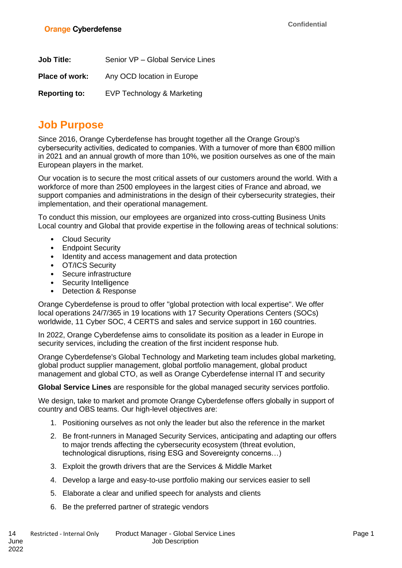| <b>Job Title:</b>    | Senior VP - Global Service Lines |
|----------------------|----------------------------------|
| Place of work:       | Any OCD location in Europe       |
| <b>Reporting to:</b> | EVP Technology & Marketing       |

## **Job Purpose**

Since 2016, Orange Cyberdefense has brought together all the Orange Group's cybersecurity activities, dedicated to companies. With a turnover of more than €800 million in 2021 and an annual growth of more than 10%, we position ourselves as one of the main European players in the market.

Our vocation is to secure the most critical assets of our customers around the world. With a workforce of more than 2500 employees in the largest cities of France and abroad, we support companies and administrations in the design of their cybersecurity strategies, their implementation, and their operational management.

To conduct this mission, our employees are organized into cross-cutting Business Units Local country and Global that provide expertise in the following areas of technical solutions:

- Cloud Security
- Endpoint Security
- Identity and access management and data protection
- OT/ICS Security
- Secure infrastructure
- Security Intelligence
- Detection & Response

Orange Cyberdefense is proud to offer "global protection with local expertise". We offer local operations 24/7/365 in 19 locations with 17 Security Operations Centers (SOCs) worldwide, 11 Cyber SOC, 4 CERTS and sales and service support in 160 countries.

In 2022, Orange Cyberdefense aims to consolidate its position as a leader in Europe in security services, including the creation of the first incident response hub.

Orange Cyberdefense's Global Technology and Marketing team includes global marketing, global product supplier management, global portfolio management, global product management and global CTO, as well as Orange Cyberdefense internal IT and security

**Global Service Lines** are responsible for the global managed security services portfolio.

We design, take to market and promote Orange Cyberdefense offers globally in support of country and OBS teams. Our high-level objectives are:

- 1. Positioning ourselves as not only the leader but also the reference in the market
- 2. Be front-runners in Managed Security Services, anticipating and adapting our offers to major trends affecting the cybersecurity ecosystem (threat evolution, technological disruptions, rising ESG and Sovereignty concerns…)
- 3. Exploit the growth drivers that are the Services & Middle Market
- 4. Develop a large and easy-to-use portfolio making our services easier to sell
- 5. Elaborate a clear and unified speech for analysts and clients
- 6. Be the preferred partner of strategic vendors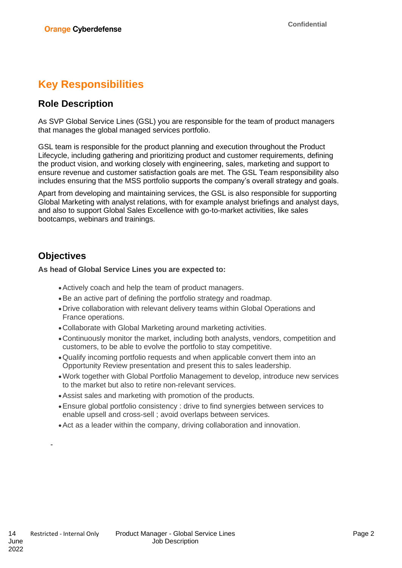# **Key Responsibilities**

### **Role Description**

As SVP Global Service Lines (GSL) you are responsible for the team of product managers that manages the global managed services portfolio.

GSL team is responsible for the product planning and execution throughout the Product Lifecycle, including gathering and prioritizing product and customer requirements, defining the product vision, and working closely with engineering, sales, marketing and support to ensure revenue and customer satisfaction goals are met. The GSL Team responsibility also includes ensuring that the MSS portfolio supports the company's overall strategy and goals.

Apart from developing and maintaining services, the GSL is also responsible for supporting Global Marketing with analyst relations, with for example analyst briefings and analyst days, and also to support Global Sales Excellence with go-to-market activities, like sales bootcamps, webinars and trainings.

### **Objectives**

#### **As head of Global Service Lines you are expected to:**

- •Actively coach and help the team of product managers.
- •Be an active part of defining the portfolio strategy and roadmap.
- •Drive collaboration with relevant delivery teams within Global Operations and France operations.
- •Collaborate with Global Marketing around marketing activities.
- •Continuously monitor the market, including both analysts, vendors, competition and customers, to be able to evolve the portfolio to stay competitive.
- •Qualify incoming portfolio requests and when applicable convert them into an Opportunity Review presentation and present this to sales leadership.
- •Work together with Global Portfolio Management to develop, introduce new services to the market but also to retire non-relevant services.
- •Assist sales and marketing with promotion of the products.
- •Ensure global portfolio consistency : drive to find synergies between services to enable upsell and cross-sell ; avoid overlaps between services.
- •Act as a leader within the company, driving collaboration and innovation.

-